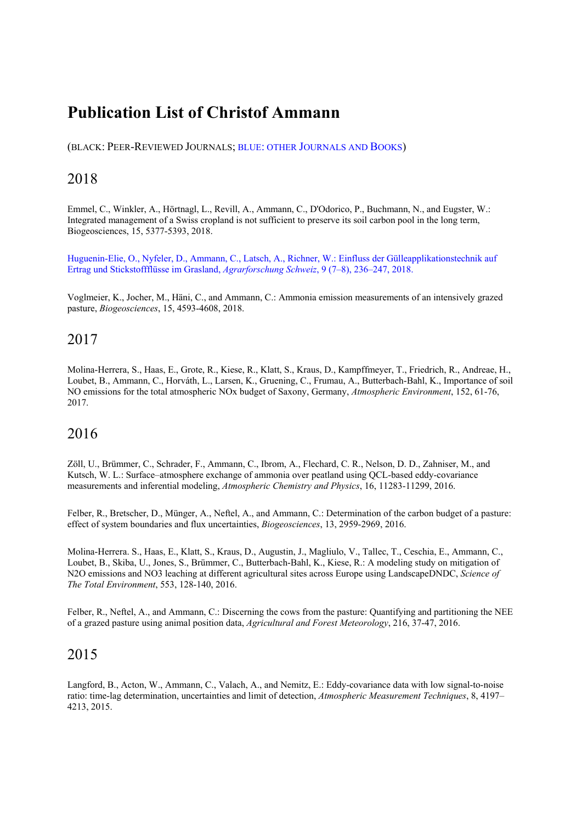# **Publication List of Christof Ammann**

(BLACK: PEER-REVIEWED JOURNALS; BLUE: OTHER JOURNALS AND BOOKS)

# 2018

Emmel, C., Winkler, A., Hörtnagl, L., Revill, A., Ammann, C., D'Odorico, P., Buchmann, N., and Eugster, W.: Integrated management of a Swiss cropland is not sufficient to preserve its soil carbon pool in the long term, Biogeosciences, 15, 5377-5393, 2018.

Huguenin-Elie, O., Nyfeler, D., Ammann, C., Latsch, A., Richner, W.: Einfluss der Gülleapplikationstechnik auf Ertrag und Stickstoffflüsse im Grasland, *Agrarforschung Schweiz*, 9 (7–8), 236–247, 2018.

Voglmeier, K., Jocher, M., Häni, C., and Ammann, C.: Ammonia emission measurements of an intensively grazed pasture, *Biogeosciences*, 15, 4593-4608, 2018.

# 2017

Molina-Herrera, S., Haas, E., Grote, R., Kiese, R., Klatt, S., Kraus, D., Kampffmeyer, T., Friedrich, R., Andreae, H., Loubet, B., Ammann, C., Horváth, L., Larsen, K., Gruening, C., Frumau, A., Butterbach-Bahl, K., Importance of soil NO emissions for the total atmospheric NOx budget of Saxony, Germany, *Atmospheric Environment*, 152, 61-76, 2017.

# 2016

Zöll, U., Brümmer, C., Schrader, F., Ammann, C., Ibrom, A., Flechard, C. R., Nelson, D. D., Zahniser, M., and Kutsch, W. L.: Surface–atmosphere exchange of ammonia over peatland using QCL-based eddy-covariance measurements and inferential modeling, *Atmospheric Chemistry and Physics*, 16, 11283-11299, 2016.

Felber, R., Bretscher, D., Münger, A., Neftel, A., and Ammann, C.: Determination of the carbon budget of a pasture: effect of system boundaries and flux uncertainties, *Biogeosciences*, 13, 2959-2969, 2016.

Molina-Herrera. S., Haas, E., Klatt, S., Kraus, D., Augustin, J., Magliulo, V., Tallec, T., Ceschia, E., Ammann, C., Loubet, B., Skiba, U., Jones, S., Brümmer, C., Butterbach-Bahl, K., Kiese, R.: A modeling study on mitigation of N2O emissions and NO3 leaching at different agricultural sites across Europe using LandscapeDNDC, *Science of The Total Environment*, 553, 128-140, 2016.

Felber, R., Neftel, A., and Ammann, C.: Discerning the cows from the pasture: Quantifying and partitioning the NEE of a grazed pasture using animal position data, *Agricultural and Forest Meteorology*, 216, 37-47, 2016.

# 2015

Langford, B., Acton, W., Ammann, C., Valach, A., and Nemitz, E.: Eddy-covariance data with low signal-to-noise ratio: time-lag determination, uncertainties and limit of detection, *Atmospheric Measurement Techniques*, 8, 4197– 4213, 2015.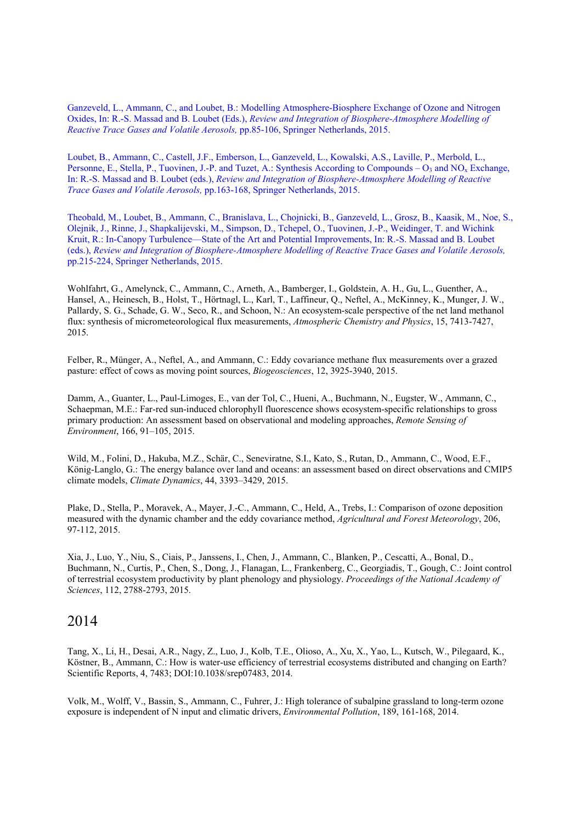Ganzeveld, L., Ammann, C., and Loubet, B.: Modelling Atmosphere-Biosphere Exchange of Ozone and Nitrogen Oxides, In: R.-S. Massad and B. Loubet (Eds.), *Review and Integration of Biosphere-Atmosphere Modelling of Reactive Trace Gases and Volatile Aerosols,* pp.85-106, Springer Netherlands, 2015.

Loubet, B., Ammann, C., Castell, J.F., Emberson, L., Ganzeveld, L., Kowalski, A.S., Laville, P., Merbold, L., Personne, E., Stella, P., Tuovinen, J.-P. and Tuzet, A.: Synthesis According to Compounds  $- O_3$  and NO<sub>x</sub> Exchange, In: R.-S. Massad and B. Loubet (eds.), *Review and Integration of Biosphere-Atmosphere Modelling of Reactive Trace Gases and Volatile Aerosols,* pp.163-168, Springer Netherlands, 2015.

Theobald, M., Loubet, B., Ammann, C., Branislava, L., Chojnicki, B., Ganzeveld, L., Grosz, B., Kaasik, M., Noe, S., Olejnik, J., Rinne, J., Shapkalijevski, M., Simpson, D., Tchepel, O., Tuovinen, J.-P., Weidinger, T. and Wichink Kruit, R.: In-Canopy Turbulence—State of the Art and Potential Improvements, In: R.-S. Massad and B. Loubet (eds.), *Review and Integration of Biosphere-Atmosphere Modelling of Reactive Trace Gases and Volatile Aerosols,* pp.215-224, Springer Netherlands, 2015.

Wohlfahrt, G., Amelynck, C., Ammann, C., Arneth, A., Bamberger, I., Goldstein, A. H., Gu, L., Guenther, A., Hansel, A., Heinesch, B., Holst, T., Hörtnagl, L., Karl, T., Laffineur, Q., Neftel, A., McKinney, K., Munger, J. W., Pallardy, S. G., Schade, G. W., Seco, R., and Schoon, N.: An ecosystem-scale perspective of the net land methanol flux: synthesis of micrometeorological flux measurements, *Atmospheric Chemistry and Physics*, 15, 7413-7427, 2015.

Felber, R., Münger, A., Neftel, A., and Ammann, C.: Eddy covariance methane flux measurements over a grazed pasture: effect of cows as moving point sources, *Biogeosciences*, 12, 3925-3940, 2015.

Damm, A., Guanter, L., Paul-Limoges, E., van der Tol, C., Hueni, A., Buchmann, N., Eugster, W., Ammann, C., Schaepman, M.E.: Far-red sun-induced chlorophyll fluorescence shows ecosystem-specific relationships to gross primary production: An assessment based on observational and modeling approaches, *Remote Sensing of Environment*, 166, 91–105, 2015.

Wild, M., Folini, D., Hakuba, M.Z., Schär, C., Seneviratne, S.I., Kato, S., Rutan, D., Ammann, C., Wood, E.F., König-Langlo, G.: The energy balance over land and oceans: an assessment based on direct observations and CMIP5 climate models, *Climate Dynamics*, 44, 3393–3429, 2015.

Plake, D., Stella, P., Moravek, A., Mayer, J.-C., Ammann, C., Held, A., Trebs, I.: Comparison of ozone deposition measured with the dynamic chamber and the eddy covariance method, *Agricultural and Forest Meteorology*, 206, 97-112, 2015.

Xia, J., Luo, Y., Niu, S., Ciais, P., Janssens, I., Chen, J., Ammann, C., Blanken, P., Cescatti, A., Bonal, D., Buchmann, N., Curtis, P., Chen, S., Dong, J., Flanagan, L., Frankenberg, C., Georgiadis, T., Gough, C.: Joint control of terrestrial ecosystem productivity by plant phenology and physiology. *Proceedings of the National Academy of Sciences*, 112, 2788-2793, 2015.

#### 2014

Tang, X., Li, H., Desai, A.R., Nagy, Z., Luo, J., Kolb, T.E., Olioso, A., Xu, X., Yao, L., Kutsch, W., Pilegaard, K., Köstner, B., Ammann, C.: How is water-use efficiency of terrestrial ecosystems distributed and changing on Earth? Scientific Reports, 4, 7483; DOI:10.1038/srep07483, 2014.

Volk, M., Wolff, V., Bassin, S., Ammann, C., Fuhrer, J.: High tolerance of subalpine grassland to long-term ozone exposure is independent of N input and climatic drivers, *Environmental Pollution*, 189, 161-168, 2014.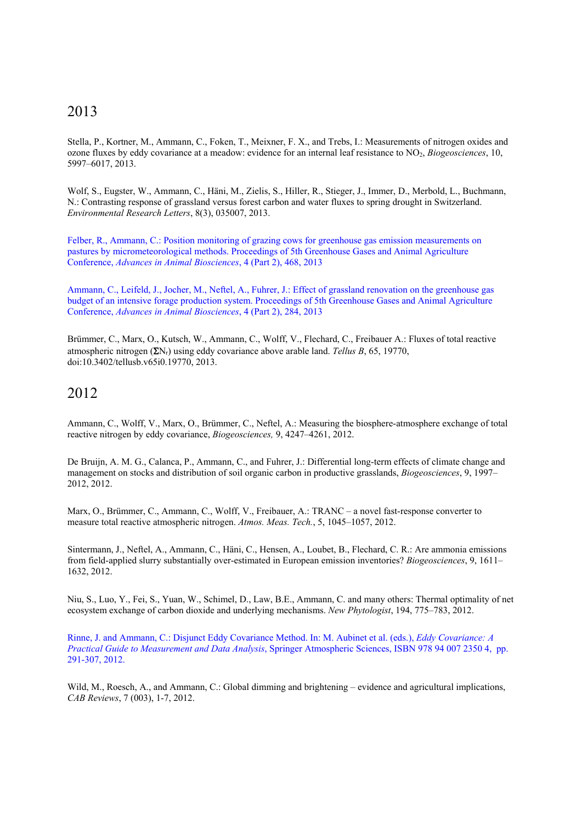# 2013

Stella, P., Kortner, M., Ammann, C., Foken, T., Meixner, F. X., and Trebs, I.: Measurements of nitrogen oxides and ozone fluxes by eddy covariance at a meadow: evidence for an internal leaf resistance to NO2, *Biogeosciences*, 10, 5997–6017, 2013.

Wolf, S., Eugster, W., Ammann, C., Häni, M., Zielis, S., Hiller, R., Stieger, J., Immer, D., Merbold, L., Buchmann, N.: Contrasting response of grassland versus forest carbon and water fluxes to spring drought in Switzerland. *Environmental Research Letters*, 8(3), 035007, 2013.

Felber, R., Ammann, C.: Position monitoring of grazing cows for greenhouse gas emission measurements on pastures by micrometeorological methods. Proceedings of 5th Greenhouse Gases and Animal Agriculture Conference, *Advances in Animal Biosciences*, 4 (Part 2), 468, 2013

Ammann, C., Leifeld, J., Jocher, M., Neftel, A., Fuhrer, J.: Effect of grassland renovation on the greenhouse gas budget of an intensive forage production system. Proceedings of 5th Greenhouse Gases and Animal Agriculture Conference, *Advances in Animal Biosciences*, 4 (Part 2), 284, 2013

Brümmer, C., Marx, O., Kutsch, W., Ammann, C., Wolff, V., Flechard, C., Freibauer A.: Fluxes of total reactive atmospheric nitrogen (Nr) using eddy covariance above arable land. *Tellus B*, 65, 19770, doi:10.3402/tellusb.v65i0.19770, 2013.

# 2012

Ammann, C., Wolff, V., Marx, O., Brümmer, C., Neftel, A.: Measuring the biosphere-atmosphere exchange of total reactive nitrogen by eddy covariance, *Biogeosciences,* 9, 4247–4261, 2012.

De Bruijn, A. M. G., Calanca, P., Ammann, C., and Fuhrer, J.: Differential long-term effects of climate change and management on stocks and distribution of soil organic carbon in productive grasslands, *Biogeosciences*, 9, 1997– 2012, 2012.

Marx, O., Brümmer, C., Ammann, C., Wolff, V., Freibauer, A.: TRANC – a novel fast-response converter to measure total reactive atmospheric nitrogen. *Atmos. Meas. Tech.*, 5, 1045–1057, 2012.

Sintermann, J., Neftel, A., Ammann, C., Häni, C., Hensen, A., Loubet, B., Flechard, C. R.: Are ammonia emissions from field-applied slurry substantially over-estimated in European emission inventories? *Biogeosciences*, 9, 1611– 1632, 2012.

Niu, S., Luo, Y., Fei, S., Yuan, W., Schimel, D., Law, B.E., Ammann, C. and many others: Thermal optimality of net ecosystem exchange of carbon dioxide and underlying mechanisms. *New Phytologist*, 194, 775–783, 2012.

Rinne, J. and Ammann, C.: Disjunct Eddy Covariance Method. In: M. Aubinet et al. (eds.), *Eddy Covariance: A Practical Guide to Measurement and Data Analysis*, Springer Atmospheric Sciences, ISBN 978 94 007 2350 4, pp. 291-307, 2012.

Wild, M., Roesch, A., and Ammann, C.: Global dimming and brightening – evidence and agricultural implications, *CAB Reviews*, 7 (003), 1-7, 2012.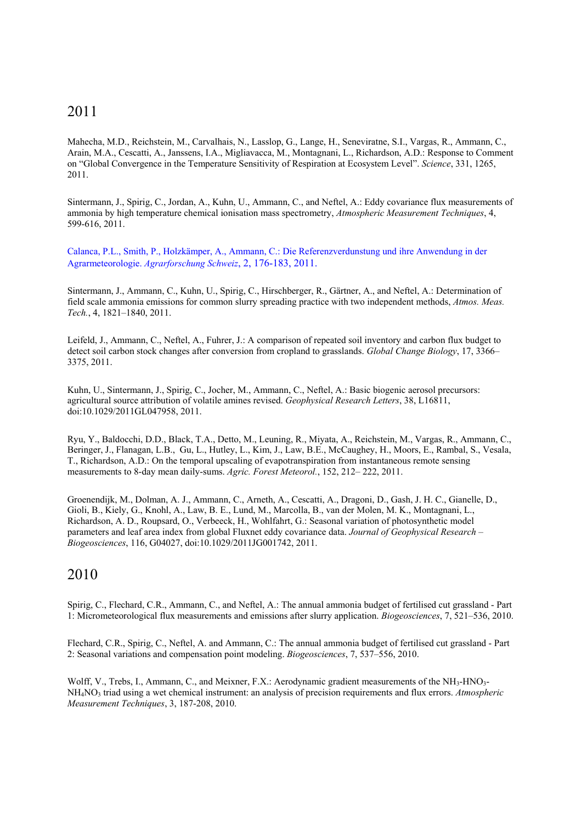# 2011

Mahecha, M.D., Reichstein, M., Carvalhais, N., Lasslop, G., Lange, H., Seneviratne, S.I., Vargas, R., Ammann, C., Arain, M.A., Cescatti, A., Janssens, I.A., Migliavacca, M., Montagnani, L., Richardson, A.D.: Response to Comment on "Global Convergence in the Temperature Sensitivity of Respiration at Ecosystem Level". *Science*, 331, 1265, 2011.

Sintermann, J., Spirig, C., Jordan, A., Kuhn, U., Ammann, C., and Neftel, A.: Eddy covariance flux measurements of ammonia by high temperature chemical ionisation mass spectrometry, *Atmospheric Measurement Techniques*, 4, 599-616, 2011.

Calanca, P.L., Smith, P., Holzkämper, A., Ammann, C.: Die Referenzverdunstung und ihre Anwendung in der Agrarmeteorologie. *Agrarforschung Schweiz*, 2, 176-183, 2011.

Sintermann, J., Ammann, C., Kuhn, U., Spirig, C., Hirschberger, R., Gärtner, A., and Neftel, A.: Determination of field scale ammonia emissions for common slurry spreading practice with two independent methods, *Atmos. Meas. Tech.*, 4, 1821–1840, 2011.

Leifeld, J., Ammann, C., Neftel, A., Fuhrer, J.: A comparison of repeated soil inventory and carbon flux budget to detect soil carbon stock changes after conversion from cropland to grasslands. *Global Change Biology*, 17, 3366– 3375, 2011.

Kuhn, U., Sintermann, J., Spirig, C., Jocher, M., Ammann, C., Neftel, A.: Basic biogenic aerosol precursors: agricultural source attribution of volatile amines revised. *Geophysical Research Letters*, 38, L16811, doi:10.1029/2011GL047958, 2011.

Ryu, Y., Baldocchi, D.D., Black, T.A., Detto, M., Leuning, R., Miyata, A., Reichstein, M., Vargas, R., Ammann, C., Beringer, J., Flanagan, L.B., Gu, L., Hutley, L., Kim, J., Law, B.E., McCaughey, H., Moors, E., Rambal, S., Vesala, T., Richardson, A.D.: On the temporal upscaling of evapotranspiration from instantaneous remote sensing measurements to 8-day mean daily-sums. *Agric. Forest Meteorol.*, 152, 212– 222, 2011.

Groenendijk, M., Dolman, A. J., Ammann, C., Arneth, A., Cescatti, A., Dragoni, D., Gash, J. H. C., Gianelle, D., Gioli, B., Kiely, G., Knohl, A., Law, B. E., Lund, M., Marcolla, B., van der Molen, M. K., Montagnani, L., Richardson, A. D., Roupsard, O., Verbeeck, H., Wohlfahrt, G.: Seasonal variation of photosynthetic model parameters and leaf area index from global Fluxnet eddy covariance data. *Journal of Geophysical Research – Biogeosciences*, 116, G04027, doi:10.1029/2011JG001742, 2011.

## 2010

Spirig, C., Flechard, C.R., Ammann, C., and Neftel, A.: The annual ammonia budget of fertilised cut grassland - Part 1: Micrometeorological flux measurements and emissions after slurry application. *Biogeosciences*, 7, 521–536, 2010.

Flechard, C.R., Spirig, C., Neftel, A. and Ammann, C.: The annual ammonia budget of fertilised cut grassland - Part 2: Seasonal variations and compensation point modeling. *Biogeosciences*, 7, 537–556, 2010.

Wolff, V., Trebs, I., Ammann, C., and Meixner, F.X.: Aerodynamic gradient measurements of the NH<sub>3</sub>-HNO<sub>3</sub>-NH4NO3 triad using a wet chemical instrument: an analysis of precision requirements and flux errors. *Atmospheric Measurement Techniques*, 3, 187-208, 2010.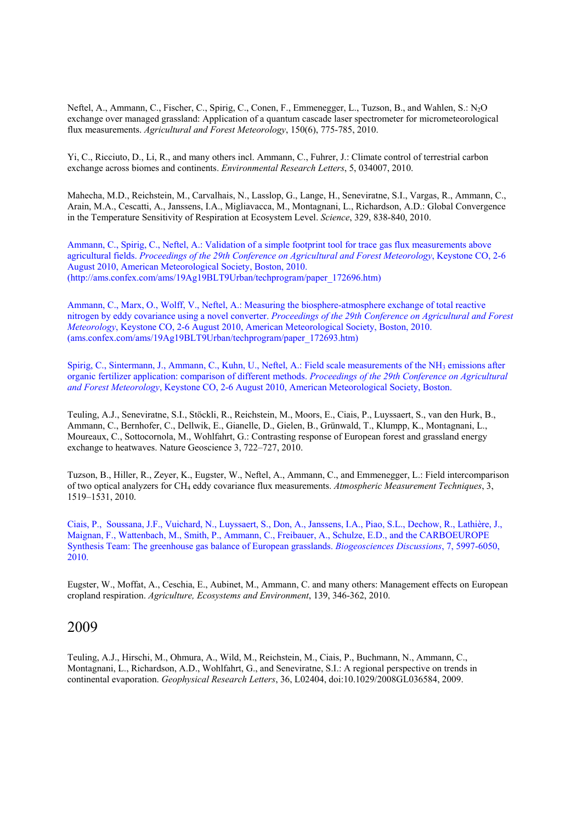Neftel, A., Ammann, C., Fischer, C., Spirig, C., Conen, F., Emmenegger, L., Tuzson, B., and Wahlen, S.: N2O exchange over managed grassland: Application of a quantum cascade laser spectrometer for micrometeorological flux measurements. *Agricultural and Forest Meteorology*, 150(6), 775-785, 2010.

Yi, C., Ricciuto, D., Li, R., and many others incl. Ammann, C., Fuhrer, J.: Climate control of terrestrial carbon exchange across biomes and continents. *Environmental Research Letters*, 5, 034007, 2010.

Mahecha, M.D., Reichstein, M., Carvalhais, N., Lasslop, G., Lange, H., Seneviratne, S.I., Vargas, R., Ammann, C., Arain, M.A., Cescatti, A., Janssens, I.A., Migliavacca, M., Montagnani, L., Richardson, A.D.: Global Convergence in the Temperature Sensitivity of Respiration at Ecosystem Level. *Science*, 329, 838-840, 2010.

Ammann, C., Spirig, C., Neftel, A.: Validation of a simple footprint tool for trace gas flux measurements above agricultural fields. *Proceedings of the 29th Conference on Agricultural and Forest Meteorology*, Keystone CO, 2-6 August 2010, American Meteorological Society, Boston, 2010. (http://ams.confex.com/ams/19Ag19BLT9Urban/techprogram/paper\_172696.htm)

Ammann, C., Marx, O., Wolff, V., Neftel, A.: Measuring the biosphere-atmosphere exchange of total reactive nitrogen by eddy covariance using a novel converter. *Proceedings of the 29th Conference on Agricultural and Forest Meteorology*, Keystone CO, 2-6 August 2010, American Meteorological Society, Boston, 2010. (ams.confex.com/ams/19Ag19BLT9Urban/techprogram/paper\_172693.htm)

Spirig, C., Sintermann, J., Ammann, C., Kuhn, U., Neftel, A.: Field scale measurements of the NH3 emissions after organic fertilizer application: comparison of different methods. *Proceedings of the 29th Conference on Agricultural and Forest Meteorology*, Keystone CO, 2-6 August 2010, American Meteorological Society, Boston.

Teuling, A.J., Seneviratne, S.I., Stöckli, R., Reichstein, M., Moors, E., Ciais, P., Luyssaert, S., van den Hurk, B., Ammann, C., Bernhofer, C., Dellwik, E., Gianelle, D., Gielen, B., Grünwald, T., Klumpp, K., Montagnani, L., Moureaux, C., Sottocornola, M., Wohlfahrt, G.: Contrasting response of European forest and grassland energy exchange to heatwaves. Nature Geoscience 3, 722–727, 2010.

Tuzson, B., Hiller, R., Zeyer, K., Eugster, W., Neftel, A., Ammann, C., and Emmenegger, L.: Field intercomparison of two optical analyzers for CH4 eddy covariance flux measurements. *Atmospheric Measurement Techniques*, 3, 1519–1531, 2010.

Ciais, P., Soussana, J.F., Vuichard, N., Luyssaert, S., Don, A., Janssens, I.A., Piao, S.L., Dechow, R., Lathière, J., Maignan, F., Wattenbach, M., Smith, P., Ammann, C., Freibauer, A., Schulze, E.D., and the CARBOEUROPE Synthesis Team: The greenhouse gas balance of European grasslands. *Biogeosciences Discussions*, 7, 5997-6050, 2010.

Eugster, W., Moffat, A., Ceschia, E., Aubinet, M., Ammann, C. and many others: Management effects on European cropland respiration. *Agriculture, Ecosystems and Environment*, 139, 346-362, 2010.

#### 2009

Teuling, A.J., Hirschi, M., Ohmura, A., Wild, M., Reichstein, M., Ciais, P., Buchmann, N., Ammann, C., Montagnani, L., Richardson, A.D., Wohlfahrt, G., and Seneviratne, S.I.: A regional perspective on trends in continental evaporation. *Geophysical Research Letters*, 36, L02404, doi:10.1029/2008GL036584, 2009.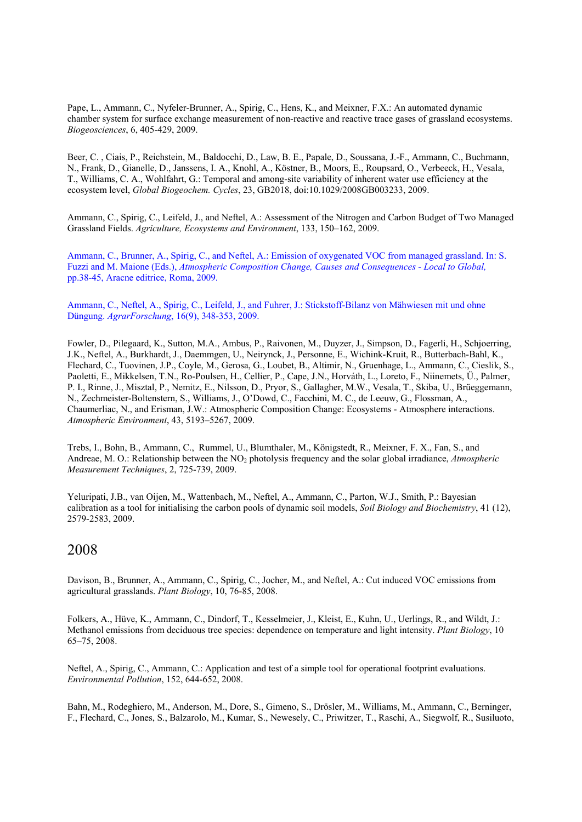Pape, L., Ammann, C., Nyfeler-Brunner, A., Spirig, C., Hens, K., and Meixner, F.X.: An automated dynamic chamber system for surface exchange measurement of non-reactive and reactive trace gases of grassland ecosystems. *Biogeosciences*, 6, 405-429, 2009.

Beer, C. , Ciais, P., Reichstein, M., Baldocchi, D., Law, B. E., Papale, D., Soussana, J.-F., Ammann, C., Buchmann, N., Frank, D., Gianelle, D., Janssens, I. A., Knohl, A., Köstner, B., Moors, E., Roupsard, O., Verbeeck, H., Vesala, T., Williams, C. A., Wohlfahrt, G.: Temporal and among-site variability of inherent water use efficiency at the ecosystem level, *Global Biogeochem. Cycles*, 23, GB2018, doi:10.1029/2008GB003233, 2009.

Ammann, C., Spirig, C., Leifeld, J., and Neftel, A.: Assessment of the Nitrogen and Carbon Budget of Two Managed Grassland Fields. *Agriculture, Ecosystems and Environment*, 133, 150–162, 2009.

Ammann, C., Brunner, A., Spirig, C., and Neftel, A.: Emission of oxygenated VOC from managed grassland. In: S. Fuzzi and M. Maione (Eds.), *Atmospheric Composition Change, Causes and Consequences - Local to Global,* pp.38-45, Aracne editrice, Roma, 2009.

Ammann, C., Neftel, A., Spirig, C., Leifeld, J., and Fuhrer, J.: Stickstoff-Bilanz von Mähwiesen mit und ohne Düngung. *AgrarForschung*, 16(9), 348-353, 2009.

Fowler, D., Pilegaard, K., Sutton, M.A., Ambus, P., Raivonen, M., Duyzer, J., Simpson, D., Fagerli, H., Schjoerring, J.K., Neftel, A., Burkhardt, J., Daemmgen, U., Neirynck, J., Personne, E., Wichink-Kruit, R., Butterbach-Bahl, K., Flechard, C., Tuovinen, J.P., Coyle, M., Gerosa, G., Loubet, B., Altimir, N., Gruenhage, L., Ammann, C., Cieslik, S., Paoletti, E., Mikkelsen, T.N., Ro-Poulsen, H., Cellier, P., Cape, J.N., Horváth, L., Loreto, F., Niinemets, Ü., Palmer, P. I., Rinne, J., Misztal, P., Nemitz, E., Nilsson, D., Pryor, S., Gallagher, M.W., Vesala, T., Skiba, U., Brüeggemann, N., Zechmeister-Boltenstern, S., Williams, J., O'Dowd, C., Facchini, M. C., de Leeuw, G., Flossman, A., Chaumerliac, N., and Erisman, J.W.: Atmospheric Composition Change: Ecosystems - Atmosphere interactions. *Atmospheric Environment*, 43, 5193–5267, 2009.

Trebs, I., Bohn, B., Ammann, C., Rummel, U., Blumthaler, M., Königstedt, R., Meixner, F. X., Fan, S., and Andreae, M. O.: Relationship between the NO2 photolysis frequency and the solar global irradiance, *Atmospheric Measurement Techniques*, 2, 725-739, 2009.

Yeluripati, J.B., van Oijen, M., Wattenbach, M., Neftel, A., Ammann, C., Parton, W.J., Smith, P.: Bayesian calibration as a tool for initialising the carbon pools of dynamic soil models, *Soil Biology and Biochemistry*, 41 (12), 2579-2583, 2009.

#### 2008

Davison, B., Brunner, A., Ammann, C., Spirig, C., Jocher, M., and Neftel, A.: Cut induced VOC emissions from agricultural grasslands. *Plant Biology*, 10, 76-85, 2008.

Folkers, A., Hüve, K., Ammann, C., Dindorf, T., Kesselmeier, J., Kleist, E., Kuhn, U., Uerlings, R., and Wildt, J.: Methanol emissions from deciduous tree species: dependence on temperature and light intensity. *Plant Biology*, 10 65–75, 2008.

Neftel, A., Spirig, C., Ammann, C.: Application and test of a simple tool for operational footprint evaluations. *Environmental Pollution*, 152, 644-652, 2008.

Bahn, M., Rodeghiero, M., Anderson, M., Dore, S., Gimeno, S., Drösler, M., Williams, M., Ammann, C., Berninger, F., Flechard, C., Jones, S., Balzarolo, M., Kumar, S., Newesely, C., Priwitzer, T., Raschi, A., Siegwolf, R., Susiluoto,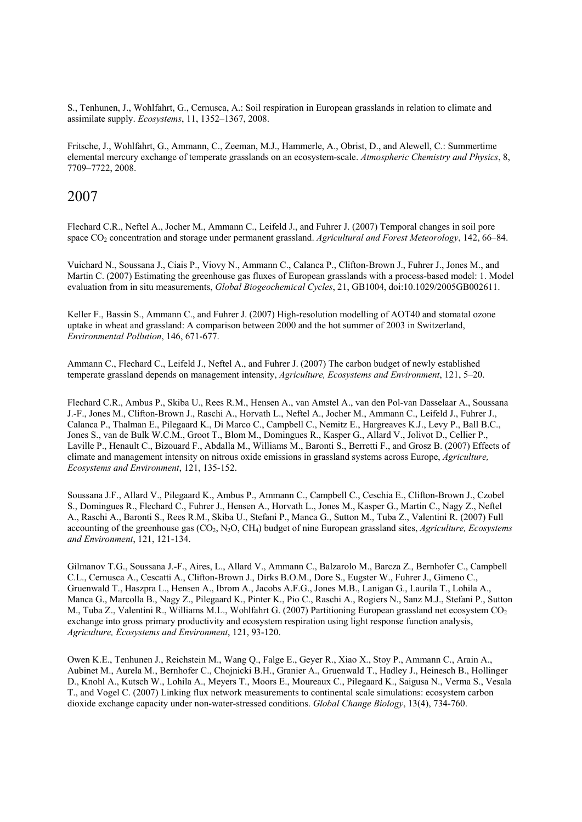S., Tenhunen, J., Wohlfahrt, G., Cernusca, A.: Soil respiration in European grasslands in relation to climate and assimilate supply. *Ecosystems*, 11, 1352–1367, 2008.

Fritsche, J., Wohlfahrt, G., Ammann, C., Zeeman, M.J., Hammerle, A., Obrist, D., and Alewell, C.: Summertime elemental mercury exchange of temperate grasslands on an ecosystem-scale. *Atmospheric Chemistry and Physics*, 8, 7709–7722, 2008.

#### 2007

Flechard C.R., Neftel A., Jocher M., Ammann C., Leifeld J., and Fuhrer J. (2007) Temporal changes in soil pore space CO2 concentration and storage under permanent grassland. *Agricultural and Forest Meteorology*, 142, 66–84.

Vuichard N., Soussana J., Ciais P., Viovy N., Ammann C., Calanca P., Clifton-Brown J., Fuhrer J., Jones M., and Martin C. (2007) Estimating the greenhouse gas fluxes of European grasslands with a process-based model: 1. Model evaluation from in situ measurements, *Global Biogeochemical Cycles*, 21, GB1004, doi:10.1029/2005GB002611.

Keller F., Bassin S., Ammann C., and Fuhrer J. (2007) High-resolution modelling of AOT40 and stomatal ozone uptake in wheat and grassland: A comparison between 2000 and the hot summer of 2003 in Switzerland, *Environmental Pollution*, 146, 671-677.

Ammann C., Flechard C., Leifeld J., Neftel A., and Fuhrer J. (2007) The carbon budget of newly established temperate grassland depends on management intensity, *Agriculture, Ecosystems and Environment*, 121, 5–20.

Flechard C.R., Ambus P., Skiba U., Rees R.M., Hensen A., van Amstel A., van den Pol-van Dasselaar A., Soussana J.-F., Jones M., Clifton-Brown J., Raschi A., Horvath L., Neftel A., Jocher M., Ammann C., Leifeld J., Fuhrer J., Calanca P., Thalman E., Pilegaard K., Di Marco C., Campbell C., Nemitz E., Hargreaves K.J., Levy P., Ball B.C., Jones S., van de Bulk W.C.M., Groot T., Blom M., Domingues R., Kasper G., Allard V., Jolivot D., Cellier P., Laville P., Henault C., Bizouard F., Abdalla M., Williams M., Baronti S., Berretti F., and Grosz B. (2007) Effects of climate and management intensity on nitrous oxide emissions in grassland systems across Europe, *Agriculture, Ecosystems and Environment*, 121, 135-152.

Soussana J.F., Allard V., Pilegaard K., Ambus P., Ammann C., Campbell C., Ceschia E., Clifton-Brown J., Czobel S., Domingues R., Flechard C., Fuhrer J., Hensen A., Horvath L., Jones M., Kasper G., Martin C., Nagy Z., Neftel A., Raschi A., Baronti S., Rees R.M., Skiba U., Stefani P., Manca G., Sutton M., Tuba Z., Valentini R. (2007) Full accounting of the greenhouse gas (CO2, N2O, CH4) budget of nine European grassland sites, *Agriculture, Ecosystems and Environment*, 121, 121-134.

Gilmanov T.G., Soussana J.-F., Aires, L., Allard V., Ammann C., Balzarolo M., Barcza Z., Bernhofer C., Campbell C.L., Cernusca A., Cescatti A., Clifton-Brown J., Dirks B.O.M., Dore S., Eugster W., Fuhrer J., Gimeno C., Gruenwald T., Haszpra L., Hensen A., Ibrom A., Jacobs A.F.G., Jones M.B., Lanigan G., Laurila T., Lohila A., Manca G., Marcolla B., Nagy Z., Pilegaard K., Pinter K., Pio C., Raschi A., Rogiers N., Sanz M.J., Stefani P., Sutton M., Tuba Z., Valentini R., Williams M.L., Wohlfahrt G. (2007) Partitioning European grassland net ecosystem CO<sub>2</sub> exchange into gross primary productivity and ecosystem respiration using light response function analysis, *Agriculture, Ecosystems and Environment*, 121, 93-120.

Owen K.E., Tenhunen J., Reichstein M., Wang Q., Falge E., Geyer R., Xiao X., Stoy P., Ammann C., Arain A., Aubinet M., Aurela M., Bernhofer C., Chojnicki B.H., Granier A., Gruenwald T., Hadley J., Heinesch B., Hollinger D., Knohl A., Kutsch W., Lohila A., Meyers T., Moors E., Moureaux C., Pilegaard K., Saigusa N., Verma S., Vesala T., and Vogel C. (2007) Linking flux network measurements to continental scale simulations: ecosystem carbon dioxide exchange capacity under non-water-stressed conditions. *Global Change Biology*, 13(4), 734-760.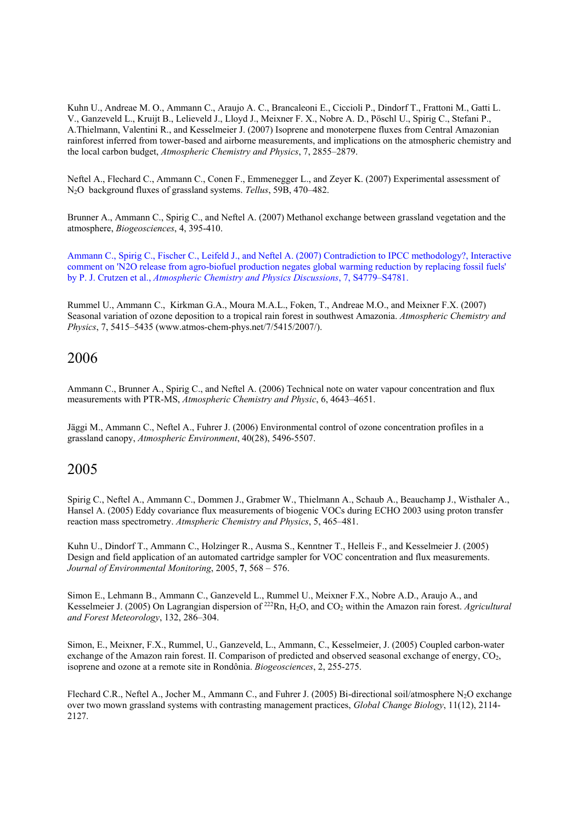Kuhn U., Andreae M. O., Ammann C., Araujo A. C., Brancaleoni E., Ciccioli P., Dindorf T., Frattoni M., Gatti L. V., Ganzeveld L., Kruijt B., Lelieveld J., Lloyd J., Meixner F. X., Nobre A. D., Pöschl U., Spirig C., Stefani P., A.Thielmann, Valentini R., and Kesselmeier J. (2007) Isoprene and monoterpene fluxes from Central Amazonian rainforest inferred from tower-based and airborne measurements, and implications on the atmospheric chemistry and the local carbon budget, *Atmospheric Chemistry and Physics*, 7, 2855–2879.

Neftel A., Flechard C., Ammann C., Conen F., Emmenegger L., and Zeyer K. (2007) Experimental assessment of N2O background fluxes of grassland systems. *Tellus*, 59B, 470–482.

Brunner A., Ammann C., Spirig C., and Neftel A. (2007) Methanol exchange between grassland vegetation and the atmosphere, *Biogeosciences*, 4, 395-410.

Ammann C., Spirig C., Fischer C., Leifeld J., and Neftel A. (2007) Contradiction to IPCC methodology?, Interactive comment on 'N2O release from agro-biofuel production negates global warming reduction by replacing fossil fuels' by P. J. Crutzen et al., *Atmospheric Chemistry and Physics Discussions*, 7, S4779–S4781.

Rummel U., Ammann C., Kirkman G.A., Moura M.A.L., Foken, T., Andreae M.O., and Meixner F.X. (2007) Seasonal variation of ozone deposition to a tropical rain forest in southwest Amazonia. *Atmospheric Chemistry and Physics*, 7, 5415–5435 (www.atmos-chem-phys.net/7/5415/2007/).

#### 2006

Ammann C., Brunner A., Spirig C., and Neftel A. (2006) Technical note on water vapour concentration and flux measurements with PTR-MS, *Atmospheric Chemistry and Physic*, 6, 4643–4651.

Jäggi M., Ammann C., Neftel A., Fuhrer J. (2006) Environmental control of ozone concentration profiles in a grassland canopy, *Atmospheric Environment*, 40(28), 5496-5507.

#### 2005

Spirig C., Neftel A., Ammann C., Dommen J., Grabmer W., Thielmann A., Schaub A., Beauchamp J., Wisthaler A., Hansel A. (2005) Eddy covariance flux measurements of biogenic VOCs during ECHO 2003 using proton transfer reaction mass spectrometry. *Atmspheric Chemistry and Physics*, 5, 465–481.

Kuhn U., Dindorf T., Ammann C., Holzinger R., Ausma S., Kenntner T., Helleis F., and Kesselmeier J. (2005) Design and field application of an automated cartridge sampler for VOC concentration and flux measurements. *Journal of Environmental Monitoring*, 2005, **7**, 568 – 576.

Simon E., Lehmann B., Ammann C., Ganzeveld L., Rummel U., Meixner F.X., Nobre A.D., Araujo A., and Kesselmeier J. (2005) On Lagrangian dispersion of 222Rn, H2O, and CO2 within the Amazon rain forest. *Agricultural and Forest Meteorology*, 132, 286–304.

Simon, E., Meixner, F.X., Rummel, U., Ganzeveld, L., Ammann, C., Kesselmeier, J. (2005) Coupled carbon-water exchange of the Amazon rain forest. II. Comparison of predicted and observed seasonal exchange of energy, CO2, isoprene and ozone at a remote site in Rondônia. *Biogeosciences*, 2, 255-275.

Flechard C.R., Neftel A., Jocher M., Ammann C., and Fuhrer J. (2005) Bi-directional soil/atmosphere N<sub>2</sub>O exchange over two mown grassland systems with contrasting management practices, *Global Change Biology*, 11(12), 2114- 2127.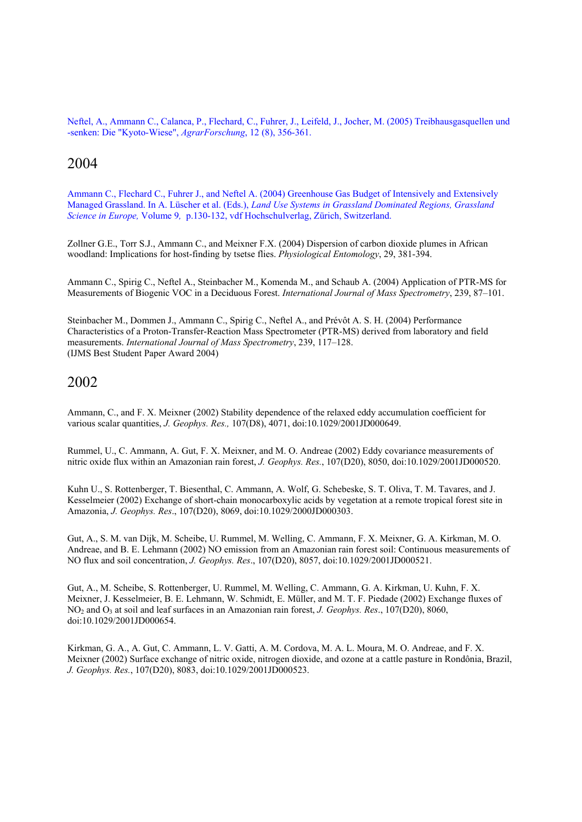Neftel, A., Ammann C., Calanca, P., Flechard, C., Fuhrer, J., Leifeld, J., Jocher, M. (2005) Treibhausgasquellen und -senken: Die "Kyoto-Wiese", *AgrarForschung*, 12 (8), 356-361.

#### 2004

Ammann C., Flechard C., Fuhrer J., and Neftel A. (2004) Greenhouse Gas Budget of Intensively and Extensively Managed Grassland. In A. Lüscher et al. (Eds.), *Land Use Systems in Grassland Dominated Regions, Grassland Science in Europe,* Volume 9*,* p.130-132, vdf Hochschulverlag, Zürich, Switzerland.

Zollner G.E., Torr S.J., Ammann C., and Meixner F.X. (2004) Dispersion of carbon dioxide plumes in African woodland: Implications for host-finding by tsetse flies. *Physiological Entomology*, 29, 381-394.

Ammann C., Spirig C., Neftel A., Steinbacher M., Komenda M., and Schaub A. (2004) Application of PTR-MS for Measurements of Biogenic VOC in a Deciduous Forest. *International Journal of Mass Spectrometry*, 239, 87–101.

Steinbacher M., Dommen J., Ammann C., Spirig C., Neftel A., and Prévôt A. S. H. (2004) Performance Characteristics of a Proton-Transfer-Reaction Mass Spectrometer (PTR-MS) derived from laboratory and field measurements. *International Journal of Mass Spectrometry*, 239, 117–128. (IJMS Best Student Paper Award 2004)

#### 2002

Ammann, C., and F. X. Meixner (2002) Stability dependence of the relaxed eddy accumulation coefficient for various scalar quantities, *J. Geophys. Res.,* 107(D8), 4071, doi:10.1029/2001JD000649.

Rummel, U., C. Ammann, A. Gut, F. X. Meixner, and M. O. Andreae (2002) Eddy covariance measurements of nitric oxide flux within an Amazonian rain forest, *J. Geophys. Res.*, 107(D20), 8050, doi:10.1029/2001JD000520.

Kuhn U., S. Rottenberger, T. Biesenthal, C. Ammann, A. Wolf, G. Schebeske, S. T. Oliva, T. M. Tavares, and J. Kesselmeier (2002) Exchange of short-chain monocarboxylic acids by vegetation at a remote tropical forest site in Amazonia, *J. Geophys. Res*., 107(D20), 8069, doi:10.1029/2000JD000303.

Gut, A., S. M. van Dijk, M. Scheibe, U. Rummel, M. Welling, C. Ammann, F. X. Meixner, G. A. Kirkman, M. O. Andreae, and B. E. Lehmann (2002) NO emission from an Amazonian rain forest soil: Continuous measurements of NO flux and soil concentration, *J. Geophys. Res*., 107(D20), 8057, doi:10.1029/2001JD000521.

Gut, A., M. Scheibe, S. Rottenberger, U. Rummel, M. Welling, C. Ammann, G. A. Kirkman, U. Kuhn, F. X. Meixner, J. Kesselmeier, B. E. Lehmann, W. Schmidt, E. Müller, and M. T. F. Piedade (2002) Exchange fluxes of NO2 and O3 at soil and leaf surfaces in an Amazonian rain forest, *J. Geophys. Res*., 107(D20), 8060, doi:10.1029/2001JD000654.

Kirkman, G. A., A. Gut, C. Ammann, L. V. Gatti, A. M. Cordova, M. A. L. Moura, M. O. Andreae, and F. X. Meixner (2002) Surface exchange of nitric oxide, nitrogen dioxide, and ozone at a cattle pasture in Rondônia, Brazil, *J. Geophys. Res.*, 107(D20), 8083, doi:10.1029/2001JD000523.